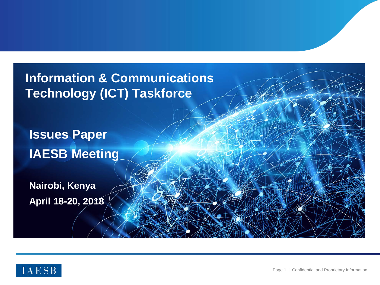**Information & Communications Technology (ICT) Taskforce**

**Issues Paper IAESB Meeting**

**Nairobi, Kenya April 18-20, 2018**

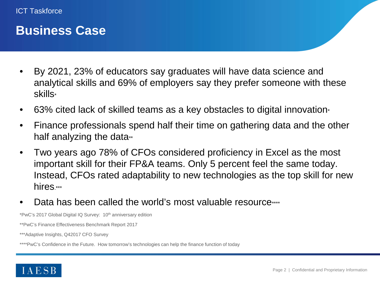#### **Business Case**

- By 2021, 23% of educators say graduates will have data science and analytical skills and 69% of employers say they prefer someone with these skills\*
- 63% cited lack of skilled teams as a key obstacles to digital innovation
- Finance professionals spend half their time on gathering data and the other half analyzing the data $*$
- Two years ago 78% of CFOs considered proficiency in Excel as the most important skill for their FP&A teams. Only 5 percent feel the same today. Instead, CFOs rated adaptability to new technologies as the top skill for new hires \*\*\*
- Data has been called the world's most valuable resource \*\*\*\*

\*PwC's 2017 Global Digital IQ Survey: 10th anniversary edition

\*\*PwC's Finance Effectiveness Benchmark Report 2017

\*\*\*Adaptive Insights, Q42017 CFO Survey

\*\*\*\*PwC's Confidence in the Future. How tomorrow's technologies can help the finance function of today

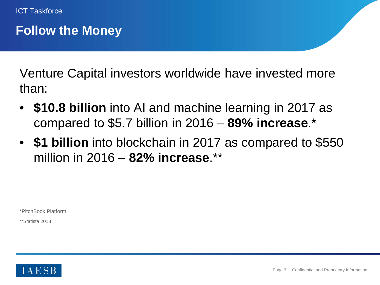#### **Follow the Money**

Venture Capital investors worldwide have invested more than:

- **\$10.8 billion** into AI and machine learning in 2017 as compared to \$5.7 billion in 2016 – **89% increase**.\*
- **\$1 billion** into blockchain in 2017 as compared to \$550 million in 2016 – **82% increase**.\*\*

\*PitchBook Platform

\*\*Statista 2018

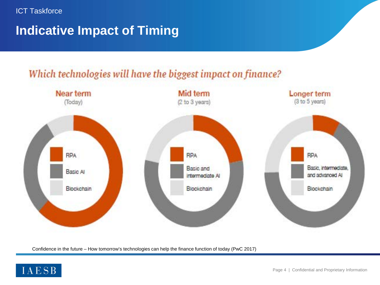

### **Indicative Impact of Timing**



Which technologies will have the biggest impact on finance?

Confidence in the future – How tomorrow's technologies can help the finance function of today (PwC 2017)

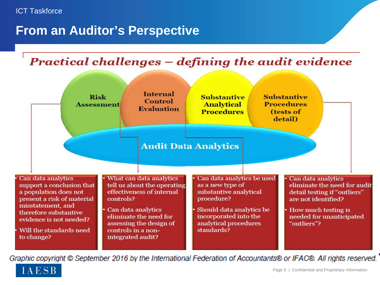#### **From an Auditor's Perspective**





Graphic copyright © September 2016 by the International Federation of Accountants® or IFAC®. All rights reserved.

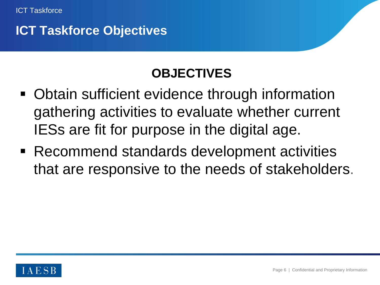

#### **ICT Taskforce Objectives**

# **OBJECTIVES**

- **Obtain sufficient evidence through information** gathering activities to evaluate whether current IESs are fit for purpose in the digital age.
- Recommend standards development activities that are responsive to the needs of stakeholders.

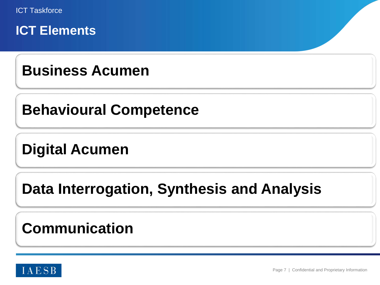

# **Business Acumen**

# **Behavioural Competence**

# **Digital Acumen**

# **Data Interrogation, Synthesis and Analysis**

# **Communication**

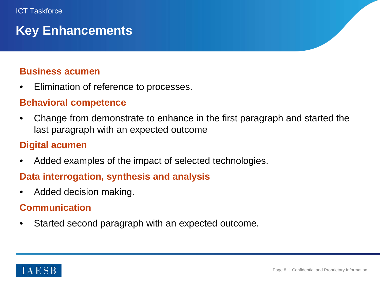## **Key Enhancements**

#### **Business acumen**

• Elimination of reference to processes.

#### **Behavioral competence**

• Change from demonstrate to enhance in the first paragraph and started the last paragraph with an expected outcome

#### **Digital acumen**

Added examples of the impact of selected technologies.

#### **Data interrogation, synthesis and analysis**

• Added decision making.

#### **Communication**

Started second paragraph with an expected outcome.

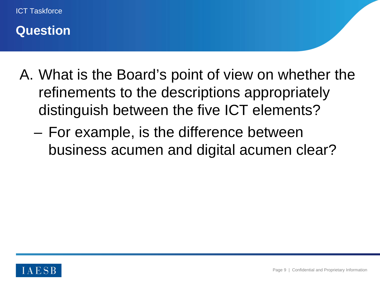

#### **Question**

- A. What is the Board's point of view on whether the refinements to the descriptions appropriately distinguish between the five ICT elements?
	- For example, is the difference between business acumen and digital acumen clear?

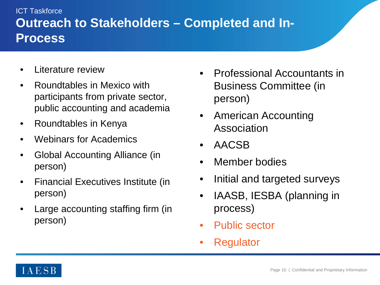#### **Outreach to Stakeholders – Completed and In-Process** ICT Taskforce

- Literature review
- Roundtables in Mexico with participants from private sector, public accounting and academia
- Roundtables in Kenya
- Webinars for Academics
- Global Accounting Alliance (in person)
- Financial Executives Institute (in person)
- Large accounting staffing firm (in person)
- Professional Accountants in Business Committee (in person)
- American Accounting Association
- AACSB
- Member bodies
- Initial and targeted surveys
- IAASB, IESBA (planning in process)
- Public sector
- **Regulator**

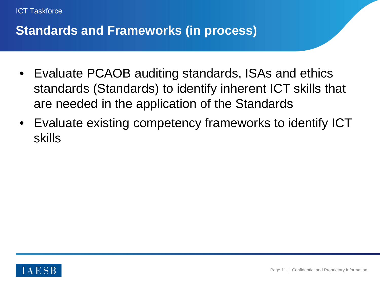

### **Standards and Frameworks (in process)**

- Evaluate PCAOB auditing standards, ISAs and ethics standards (Standards) to identify inherent ICT skills that are needed in the application of the Standards
- Evaluate existing competency frameworks to identify ICT skills

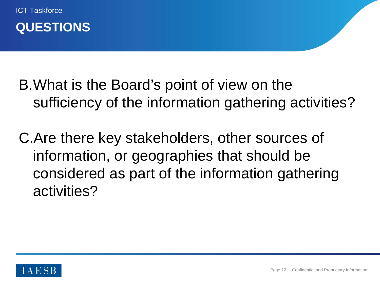



- B.What is the Board's point of view on the sufficiency of the information gathering activities?
- C.Are there key stakeholders, other sources of information, or geographies that should be considered as part of the information gathering activities?

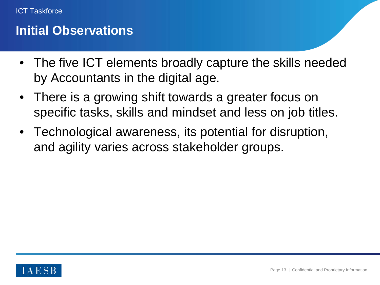#### **Initial Observations**

- The five ICT elements broadly capture the skills needed by Accountants in the digital age.
- There is a growing shift towards a greater focus on specific tasks, skills and mindset and less on job titles.
- Technological awareness, its potential for disruption, and agility varies across stakeholder groups.

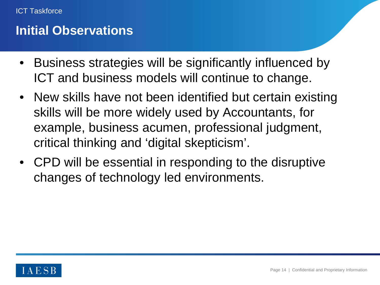#### **Initial Observations**

- Business strategies will be significantly influenced by ICT and business models will continue to change.
- New skills have not been identified but certain existing skills will be more widely used by Accountants, for example, business acumen, professional judgment, critical thinking and 'digital skepticism'.
- CPD will be essential in responding to the disruptive changes of technology led environments.

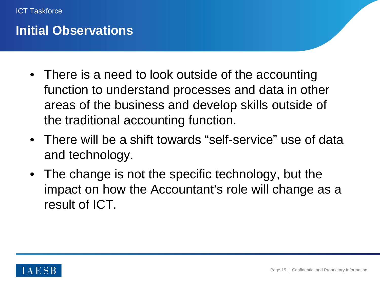

#### **Initial Observations**

- There is a need to look outside of the accounting function to understand processes and data in other areas of the business and develop skills outside of the traditional accounting function.
- There will be a shift towards "self-service" use of data and technology.
- The change is not the specific technology, but the impact on how the Accountant's role will change as a result of ICT.

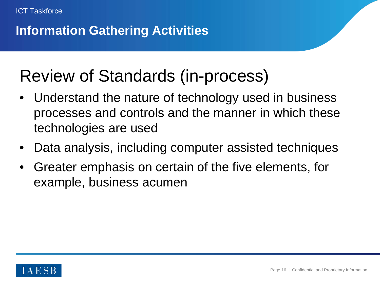## **Information Gathering Activities**

# Review of Standards (in-process)

- Understand the nature of technology used in business processes and controls and the manner in which these technologies are used
- Data analysis, including computer assisted techniques
- Greater emphasis on certain of the five elements, for example, business acumen

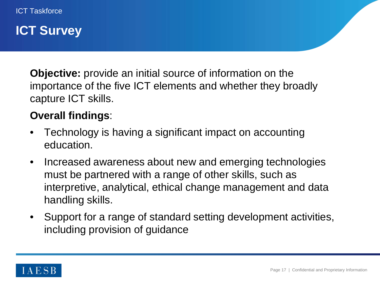#### **ICT Survey**

**Objective:** provide an initial source of information on the importance of the five ICT elements and whether they broadly capture ICT skills.

#### **Overall findings**:

- Technology is having a significant impact on accounting education.
- Increased awareness about new and emerging technologies must be partnered with a range of other skills, such as interpretive, analytical, ethical change management and data handling skills.
- Support for a range of standard setting development activities, including provision of guidance

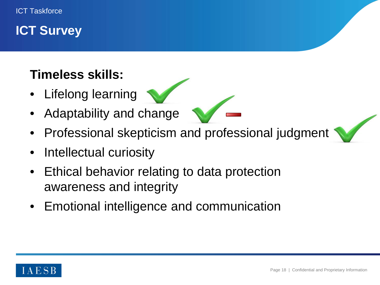### **ICT Survey**

## **Timeless skills:**

- Lifelong learning
- Adaptability and change
- Professional skepticism and professional judgment
- Intellectual curiosity
- Ethical behavior relating to data protection awareness and integrity
- Emotional intelligence and communication

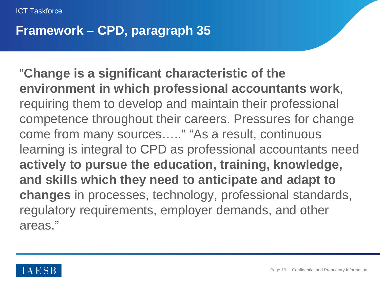ICT Taskforce

#### **Framework – CPD, paragraph 35**

"**Change is a significant characteristic of the environment in which professional accountants work**, requiring them to develop and maintain their professional competence throughout their careers. Pressures for change come from many sources….." "As a result, continuous learning is integral to CPD as professional accountants need **actively to pursue the education, training, knowledge, and skills which they need to anticipate and adapt to changes** in processes, technology, professional standards, regulatory requirements, employer demands, and other areas."

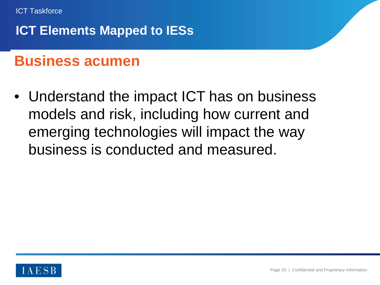

## **Business acumen**

• Understand the impact ICT has on business models and risk, including how current and emerging technologies will impact the way business is conducted and measured.

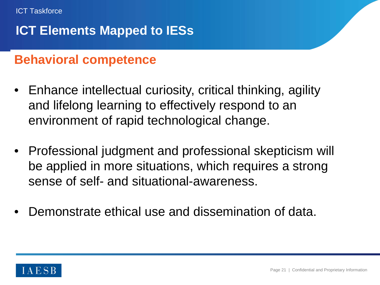### **Behavioral competence**

- Enhance intellectual curiosity, critical thinking, agility and lifelong learning to effectively respond to an environment of rapid technological change.
- Professional judgment and professional skepticism will be applied in more situations, which requires a strong sense of self- and situational-awareness.
- Demonstrate ethical use and dissemination of data.

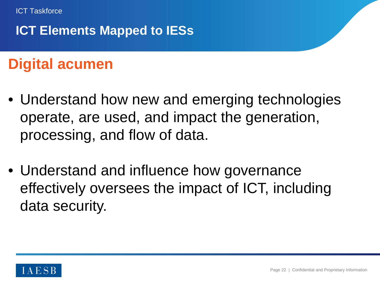

# **Digital acumen**

- Understand how new and emerging technologies operate, are used, and impact the generation, processing, and flow of data.
- Understand and influence how governance effectively oversees the impact of ICT, including data security.

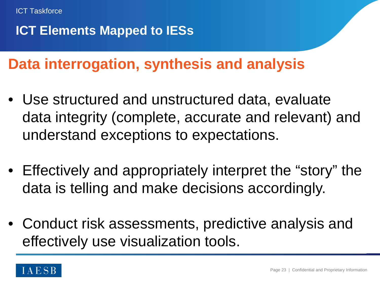

# **Data interrogation, synthesis and analysis**

- Use structured and unstructured data, evaluate data integrity (complete, accurate and relevant) and understand exceptions to expectations.
- Effectively and appropriately interpret the "story" the data is telling and make decisions accordingly.
- Conduct risk assessments, predictive analysis and effectively use visualization tools.

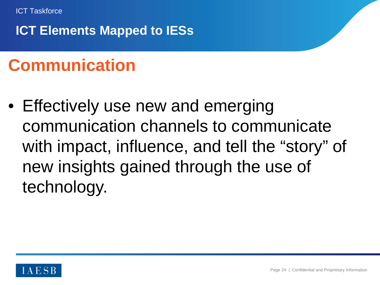

# **Communication**

• Effectively use new and emerging communication channels to communicate with impact, influence, and tell the "story" of new insights gained through the use of technology.

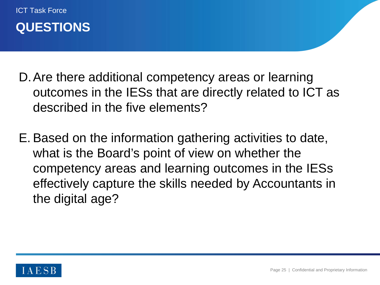

ICT Task Force

- D.Are there additional competency areas or learning outcomes in the IESs that are directly related to ICT as described in the five elements?
- E. Based on the information gathering activities to date, what is the Board's point of view on whether the competency areas and learning outcomes in the IESs effectively capture the skills needed by Accountants in the digital age?

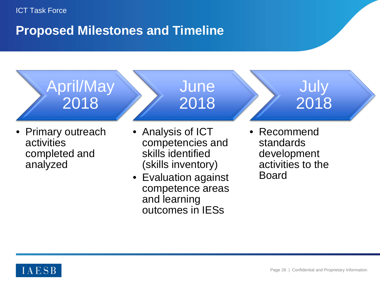### **Proposed Milestones and Timeline**

April/May 2018

• Primary outreach activities completed and analyzed

• Analysis of ICT competencies and skills identified (skills inventory)

**June** 

2018

- Evaluation against competence areas and learning outcomes in IESs
- Recommend standards development activities to the Board

July

2018